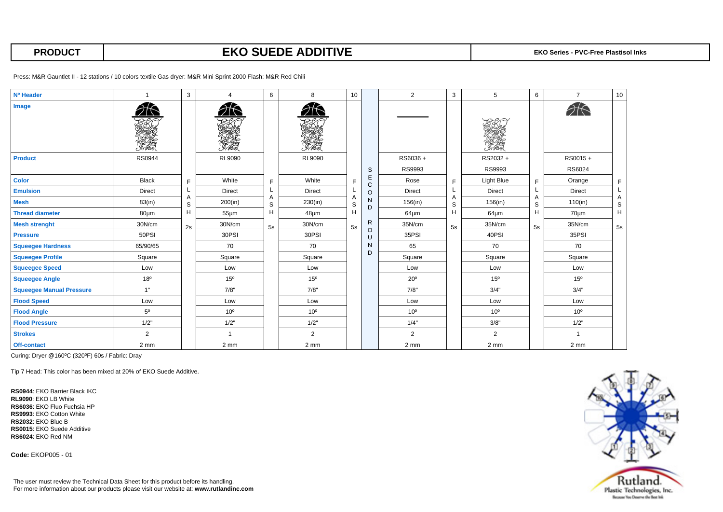## **PRODUCT EKO SUEDE ADDITIVE** EXO Series - PVC-Free Plastisol Inks

Press: M&R Gauntlet II - 12 stations / 10 colors textile Gas dryer: M&R Mini Sprint 2000 Flash: M&R Red Chili

| Nº Header                       |                 | 3                                | $\boldsymbol{\Delta}$ | 6                      | 8                | 10               |                                                   | $\overline{2}$   | 3  | 5                | 6                                      | $\overline{7}$  | 10                        |
|---------------------------------|-----------------|----------------------------------|-----------------------|------------------------|------------------|------------------|---------------------------------------------------|------------------|----|------------------|----------------------------------------|-----------------|---------------------------|
| Image                           | ŞŁ<br>Transa    |                                  | e fre                 |                        | e Free<br>Imhrio |                  |                                                   |                  |    | PE-Jee<br>Imhrio |                                        | $\partial$      |                           |
| <b>Product</b>                  | <b>RS0944</b>   |                                  | RL9090                |                        | RL9090           |                  |                                                   | RS6036+          |    | RS2032+          |                                        | RS0015+         |                           |
|                                 |                 |                                  |                       |                        |                  |                  | $\mathbb S$                                       | RS9993           |    | RS9993           |                                        | RS6024          |                           |
| <b>Color</b>                    | <b>Black</b>    | E<br>A<br>$\mathbb S$<br>H<br>2s | White                 | E<br>A<br>S<br>H<br>5s | White            | F                | $\mathsf E$<br>$\mathbf C$                        | Rose             | F  | Light Blue       | F.<br>L<br>Α<br>$\mathbb S$<br>H<br>5s | Orange          | F                         |
| <b>Emulsion</b>                 | <b>Direct</b>   |                                  | <b>Direct</b>         |                        | <b>Direct</b>    |                  | $\circ$                                           | <b>Direct</b>    |    | Direct           |                                        | Direct          | L                         |
| <b>Mesh</b>                     | 83(in)          |                                  | 200(in)               |                        | 230(in)          | Α<br>$\mathbb S$ | $\mathsf{N}$<br>D                                 | 156(in)          | S  | 156(in)          |                                        | 110(in)         | Α<br>$\mathbb S$          |
| <b>Thread diameter</b>          | $80 \mu m$      |                                  | $55 \mu m$            |                        | $48 \mu m$       | H                |                                                   | $64 \mu m$       | H  | $64 \mu m$       |                                        | 70um            | $\boldsymbol{\mathsf{H}}$ |
| <b>Mesh strenght</b>            | 30N/cm          |                                  | 30N/cm                |                        | 30N/cm           | 5s               | $\mathsf{R}$<br>$\circ$<br>U<br>$\mathsf{N}$<br>D | 35N/cm           | 5s | 35N/cm           |                                        | 35N/cm          | 5s                        |
| <b>Pressure</b>                 | 50PSI           |                                  | 30PSI                 |                        | 30PSI            |                  |                                                   | 35PSI            |    | 40PSI            |                                        | 35PSI           |                           |
| <b>Squeegee Hardness</b>        | 65/90/65        |                                  | 70                    |                        | 70               |                  |                                                   | 65               |    | 70               |                                        | 70              |                           |
| <b>Squeegee Profile</b>         | Square          |                                  | Square                |                        | Square           |                  |                                                   | Square           |    | Square           |                                        | Square          |                           |
| <b>Squeegee Speed</b>           | Low             |                                  | Low                   |                        | Low              |                  |                                                   | Low              |    | Low              |                                        | Low             |                           |
| <b>Squeegee Angle</b>           | 18 <sup>o</sup> |                                  | 15 <sup>o</sup>       |                        | 15 <sup>o</sup>  |                  |                                                   | $20^{\circ}$     |    | 15°              |                                        | 15 <sup>o</sup> |                           |
| <b>Squeegee Manual Pressure</b> | 1"              |                                  | 7/8"                  |                        | 7/8"             |                  |                                                   | 7/8"             |    | 3/4"             |                                        | 3/4"            |                           |
| <b>Flood Speed</b>              | Low             |                                  | Low                   |                        | Low              |                  |                                                   | Low              |    | Low              |                                        | Low             |                           |
| <b>Flood Angle</b>              | $5^{\circ}$     |                                  | 10 <sup>o</sup>       |                        | 10 <sup>o</sup>  |                  |                                                   | 10 <sup>o</sup>  |    | 10 <sup>o</sup>  |                                        | $10^{\circ}$    |                           |
| <b>Flood Pressure</b>           | 1/2"            |                                  | 1/2"                  |                        | 1/2"             |                  |                                                   | 1/4"             |    | 3/8"             |                                        | 1/2"            |                           |
| <b>Strokes</b>                  | 2               |                                  | $\overline{1}$        |                        | $\overline{2}$   |                  |                                                   | $\overline{2}$   |    | 2                |                                        |                 |                           |
| Off-contact                     | 2 mm            |                                  | 2 mm                  |                        | 2 mm             |                  |                                                   | $2 \, \text{mm}$ |    | 2 mm             |                                        | 2 <sub>mm</sub> |                           |

Curing: Dryer @160ºC (320ºF) 60s / Fabric: Dray

Tip 7 Head: This color has been mixed at 20% of EKO Suede Additive.

**RS0944**: EKO Barrier Black IKC **RL9090**: EKO LB White **RS6036**: EKO Fluo Fuchsia HP **RS9993**: EKO Cotton White **RS2032**: EKO Blue B **RS0015**: EKO Suede Additive **RS6024**: EKO Red NM

**Code:** EKOP005 - 01